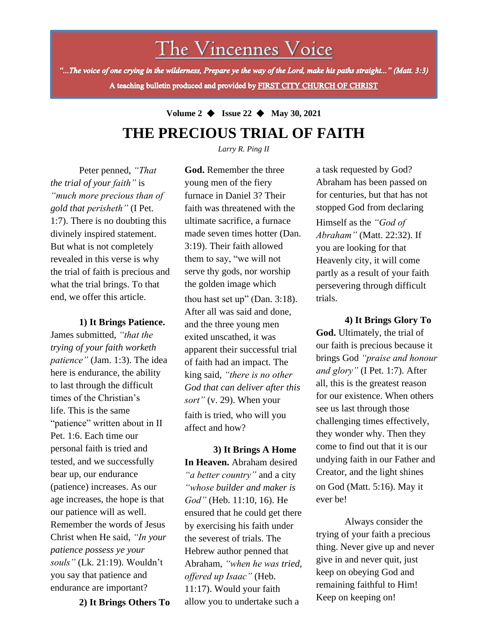# The Vincennes Voice

"...The voice of one crying in the wilderness, Prepare ye the way of the Lord, make his paths straight..." (Matt. 3:3) A teaching bulletin produced and provided by FIRST CITY CHURCH OF CHRIST

## **Volume 2** ◆ **Issue 22** ◆ **May 30, 2021 THE PRECIOUS TRIAL OF FAITH**

**God.** Remember the three

*Larry R. Ping II*

Peter penned, *"That the trial of your faith"* is *"much more precious than of gold that perisheth"* (I Pet. 1:7). There is no doubting this divinely inspired statement. But what is not completely revealed in this verse is why the trial of faith is precious and what the trial brings. To that end, we offer this article.

### **1) It Brings Patience.**

patience possess ye your James submitted, *"that the trying of your faith worketh patience"* (Jam. 1:3). The idea here is endurance, the ability to last through the difficult times of the Christian's life. This is the same "patience" written about in II Pet. 1:6. Each time our personal faith is tried and tested, and we successfully bear up, our endurance (patience) increases. As our age increases, the hope is that our patience will as well. Remember the words of Jesus Christ when He said, *"In your souls"* (Lk. 21:19). Wouldn't you say that patience and endurance are important?

**2) It Brings Others To**

young men of the fiery furnace in Daniel 3? Their faith was threatened with the ultimate sacrifice, a furnace made seven times hotter (Dan. 3:19). Their faith allowed them to say, "we will not serve thy gods, nor worship the golden image which thou hast set up" (Dan. 3:18). After all was said and done, and the three young men exited unscathed, it was apparent their successful trial of faith had an impact. The king said, *"there is no other God that can deliver after this sort"* (v. 29). When your faith is tried, who will you affect and how?

**3) It Brings A Home In Heaven.** Abraham desired *"a better country"* and a city *"whose builder and maker is God"* (Heb. 11:10, 16). He ensured that he could get there by exercising his faith under the severest of trials. The Hebrew author penned that Abraham, *"when he was tried, offered up Isaac"* (Heb. 11:17). Would your faith allow you to undertake such a

a task requested by God? Abraham has been passed on for centuries, but that has not stopped God from declaring Himself as the *"God of Abraham"* (Matt. 22:32). If you are looking for that Heavenly city, it will come partly as a result of your faith persevering through difficult trials.

**4) It Brings Glory To God.** Ultimately, the trial of our faith is precious because it brings God *"praise and honour and glory"* (I Pet. 1:7). After all, this is the greatest reason for our existence. When others see us last through those challenging times effectively, they wonder why. Then they come to find out that it is our undying faith in our Father and Creator, and the light shines on God (Matt. 5:16). May it ever be!

Always consider the trying of your faith a precious thing. Never give up and never give in and never quit, just keep on obeying God and remaining faithful to Him! Keep on keeping on!